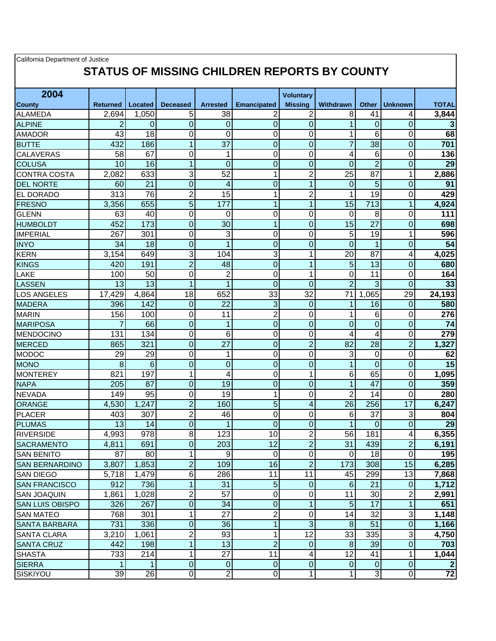| California Department of Justice<br>STATUS OF MISSING CHILDREN REPORTS BY COUNTY |                 |                  |                  |                          |                         |                  |                 |                 |                  |                 |
|----------------------------------------------------------------------------------|-----------------|------------------|------------------|--------------------------|-------------------------|------------------|-----------------|-----------------|------------------|-----------------|
| 2004                                                                             |                 |                  |                  |                          |                         | <b>Voluntary</b> |                 |                 |                  |                 |
| <b>County</b>                                                                    | <b>Returned</b> | Located          | <b>Deceased</b>  | <b>Arrested</b>          | <b>Emancipated</b>      | <b>Missina</b>   | Withdrawn       | Other           | <b>Unknown</b>   | <b>TOTAL</b>    |
| <b>ALAMEDA</b>                                                                   | 2,694           | 1,050            | 5                | 38                       | 2                       | 2                | 8               | 41              | 4                | 3,844           |
| <b>ALPINE</b>                                                                    | 2               | 0                | $\overline{0}$   | 0                        | $\overline{0}$          | $\overline{0}$   | 1               | $\Omega$        | $\overline{0}$   | 3               |
| <b>AMADOR</b>                                                                    | 43              | 18               | 0                | 0                        | 0                       | 0                | 1               | 6               | $\Omega$         | 68              |
| <b>BUTTE</b>                                                                     | 432             | 186              | 1                | $\overline{37}$          | $\overline{\mathsf{o}}$ | $\overline{0}$   | $\overline{7}$  | $\overline{38}$ | $\overline{0}$   | 701             |
| <b>CALAVERAS</b>                                                                 | 58              | 67               | 0                | 1                        | $\mathbf 0$             | 0                | 4               | 6               | $\Omega$         | 136             |
| <b>COLUSA</b>                                                                    | 10              | 16               | 1                | $\overline{0}$           | $\overline{0}$          | $\overline{0}$   | 0               | $\overline{2}$  | $\overline{0}$   | $\overline{29}$ |
| <b>CONTRA COSTA</b>                                                              | 2,082           | 633              | 3                | 52                       | 1                       | $\overline{2}$   | 25              | 87              | 1                | 2,886           |
| <b>DEL NORTE</b>                                                                 | 60              | $\overline{21}$  | $\overline{0}$   | $\overline{\mathcal{A}}$ | $\overline{\mathsf{o}}$ | $\mathbf{1}$     | $\mathbf 0$     | $\overline{5}$  | $\mathbf 0$      | 91              |
| EL DORADO                                                                        | 313             | $\overline{76}$  | $\overline{2}$   | 15                       | $\mathbf{1}$            | $\overline{2}$   | 1               | $\overline{19}$ | $\overline{0}$   | 429             |
| <b>FRESNO</b>                                                                    | 3,356           | 655              | $\overline{5}$   | 177                      | $\mathbf{1}$            | $\overline{1}$   | 15              | 713             | 1                | 4,924           |
| <b>GLENN</b>                                                                     | 63              | 40               | $\mathbf 0$      | 0                        | 0                       | 0                | 0               | 8               | 0                | 111             |
| <b>HUMBOLDT</b>                                                                  | 452             | 173              | $\overline{0}$   | 30                       | $\overline{1}$          | $\overline{0}$   | 15              | 27              | $\overline{0}$   | 698             |
| <b>IMPERIAL</b>                                                                  | 267             | 301              | $\mathbf 0$      | 3                        | 0                       | 0                | 5               | 19              | 1                | 596             |
| <b>INYO</b>                                                                      | 34              | 18               | $\mathbf 0$      | 1                        | $\overline{0}$          | $\mathbf 0$      | $\overline{0}$  | $\mathbf{1}$    | $\overline{0}$   | 54              |
| <b>KERN</b>                                                                      | 3,154           | 649              | 3                | 104                      | 3                       | 1                | 20              | $8\overline{7}$ | 4                | 4,025           |
| <b>KINGS</b>                                                                     | 420             | 191              | $\overline{2}$   | 48                       | $\overline{0}$          | 1                | 5               | 13              | 0                | 680             |
| LAKE                                                                             | 100             | 50               | $\overline{0}$   | $\overline{2}$           | 0                       | 1                | $\overline{0}$  | 11              | $\mathbf 0$      | 164             |
| <b>LASSEN</b>                                                                    | 13              | 13               | 1                | 1                        | $\overline{0}$          | $\overline{0}$   | $\overline{2}$  | 3               | $\overline{0}$   | 33              |
| <b>LOS ANGELES</b>                                                               | 17,429          | 4,864            | 18               | 652                      | 33                      | 32               | 71              | 1,065           | 29               | 24,193          |
| <b>MADERA</b>                                                                    | 396             | 142              | $\overline{0}$   | 22                       | 3                       | 0                | 1               | 16              | 0                | 580             |
| <b>MARIN</b>                                                                     | 156             | 100              | $\overline{0}$   | 11                       | $\overline{2}$          | 0                | 1               | 6               | 0                | 276             |
| <b>MARIPOSA</b>                                                                  | 7               | 66               | $\boldsymbol{0}$ | $\mathbf{1}$             | $\overline{0}$          | $\overline{0}$   | 0               | $\overline{0}$  | $\mathbf 0$      | 74              |
| <b>MENDOCINO</b>                                                                 | 131             | 134              | $\overline{0}$   | 6                        | $\overline{0}$          | 0                | 4               | 4               | 0                | 279             |
| <b>MERCED</b>                                                                    | 865             | 321              | $\overline{0}$   | $\overline{27}$          | $\overline{0}$          | $\overline{2}$   | 82              | 28              | $\overline{2}$   | 1,327           |
| <b>MODOC</b>                                                                     | 29              | 29               | $\overline{0}$   | 1                        | 0                       | 0                | 3               | $\Omega$        | 0                | 62              |
| <b>MONO</b>                                                                      | 8               | 6                | $\mathbf 0$      | $\mathbf 0$              | $\overline{\mathsf{o}}$ | $\overline{0}$   | 1               | $\overline{0}$  | $\overline{0}$   | 15              |
| <b>MONTEREY</b>                                                                  | 821             | 197              | 1                | 4                        | 0                       | 1                | 6               | 65              | 0                | 1,095           |
| <b>NAPA</b>                                                                      | 205             | 87               | $\overline{0}$   | 19                       | $\overline{0}$          | 0                | 1               | 47              | $\mathbf 0$      | 359             |
| <b>NEVADA</b>                                                                    | 149             | $\overline{95}$  | $\mathbf 0$      | $\overline{19}$          | $\overline{1}$          | 0                | $\overline{2}$  | 14              | $\Omega$         | 280             |
| ORANGE                                                                           | 4,530           | 1,247            | $\overline{2}$   | 160                      | 5                       | 4                | 26              | 256             | 17               | 6,247           |
| <b>PLACER</b>                                                                    | 403             | 307              | $\overline{2}$   | 46                       | 0                       | 0                | 6               | $\overline{37}$ | 3                | 804             |
| <b>PLUMAS</b>                                                                    | 13              | 14               | $\overline{O}$   | $\mathbf 1$              | $\overline{0}$          | $\Omega$         | 1               | $\overline{0}$  | 0                | 29              |
| <b>RIVERSIDE</b>                                                                 | 4,993           | $\overline{978}$ | $\overline{8}$   | 123                      | 10                      | $\overline{2}$   | $\overline{56}$ | 181             | 4                | 6,355           |
| <b>SACRAMENTO</b>                                                                | 4,811           | 691              | $\overline{0}$   | 203                      | $\overline{12}$         | $\overline{2}$   | 31              | 439             | $\overline{2}$   | 6,191           |
| <b>SAN BENITO</b>                                                                | 87              | 80               | 1                | $9\,$                    | $\pmb{0}$               | $\pmb{0}$        | 0               | 18              | $\overline{0}$   | 195             |
| <b>SAN BERNARDINO</b>                                                            | 3,807           | 1,853            | $\overline{2}$   | 109                      | 16                      | $\overline{2}$   | 173             | 308             | 15               | 6,285           |
| <b>SAN DIEGO</b>                                                                 | 5,718           | 1,479            | $\overline{6}$   | 286                      | 11                      | 11               | 45              | 299             | 13               | 7,868           |
| <b>SAN FRANCISCO</b>                                                             | 912             | 736              | $\overline{1}$   | 31                       | $\overline{5}$          | $\pmb{0}$        | $\sigma$        | 21              | $\boldsymbol{0}$ | 1,712           |
| <b>SAN JOAQUIN</b>                                                               | 1,861           | 1,028            | 2                | 57                       | $\overline{0}$          | $\pmb{0}$        | 11              | 30              | 2                | 2,991           |
| <b>SAN LUIS OBISPO</b>                                                           | 326             | 267              | $\boldsymbol{0}$ | 34                       | $\overline{0}$          | $\mathbf{1}$     | 5               | $\overline{17}$ | 1                | 651             |
| <b>SAN MATEO</b>                                                                 | 768             | 301              | 1                | 27                       | $\overline{2}$          | 0                | 14              | 32              | 3                | 1,148           |
| SANTA BARBARA                                                                    | 731             | 336              | $\boldsymbol{0}$ | 36                       | $\overline{1}$          | ω                | 8               | 51              | $\overline{0}$   | 1,166           |
| <b>SANTA CLARA</b>                                                               | 3,210           | 1,061            | $\mathbf 2$      | 93                       | $\mathbf{1}$            | $\overline{12}$  | 33              | 335             | 3                | 4,750           |
| <b>SANTA CRUZ</b>                                                                | 442             | 198              | 1                | 13                       | $\overline{2}$          | 0                | 8               | 39              | $\mathbf 0$      | 703             |
| <b>SHASTA</b>                                                                    | 733             | 214              | 1                | 27                       | 11                      | 4                | 12              | 41              | 1                | 1,044           |
| <b>SIERRA</b>                                                                    |                 | 1                | $\overline{0}$   | $\pmb{0}$                | $\overline{0}$          | $\overline{0}$   | $\overline{0}$  | $\overline{0}$  | $\mathbf 0$      | $\overline{2}$  |
| SISKIYOU                                                                         | 39              | 26               | $\overline{0}$   | $\overline{2}$           | $\overline{0}$          | $\overline{1}$   | 1               | $\overline{3}$  | $\overline{0}$   | 72              |